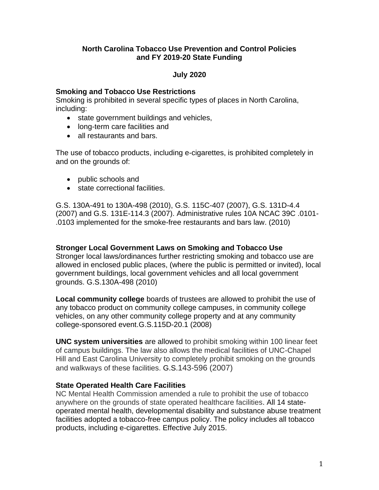## **North Carolina Tobacco Use Prevention and Control Policies and FY 2019-20 State Funding**

## **July 2020**

#### **Smoking and Tobacco Use Restrictions**

Smoking is prohibited in several specific types of places in North Carolina, including:

- state government buildings and vehicles,
- long-term care facilities and
- all restaurants and bars.

The use of tobacco products, including e-cigarettes, is prohibited completely in and on the grounds of:

- public schools and
- state correctional facilities.

G.S. 130A-491 to 130A-498 (2010), G.S. 115C-407 (2007), G.S. 131D-4.4 (2007) and G.S. 131E-114.3 (2007). Administrative rules 10A NCAC 39C .0101- .0103 implemented for the smoke-free restaurants and bars law. (2010)

### **Stronger Local Government Laws on Smoking and Tobacco Use**

Stronger local laws/ordinances further restricting smoking and tobacco use are allowed in enclosed public places, (where the public is permitted or invited), local government buildings, local government vehicles and all local government grounds. G.S.130A-498 (2010)

**Local community college** boards of trustees are allowed to prohibit the use of any tobacco product on community college campuses, in community college vehicles, on any other community college property and at any community college-sponsored event.G.S.115D-20.1 (2008)

**UNC system universities** are allowed to prohibit smoking within 100 linear feet of campus buildings. The law also allows the medical facilities of UNC-Chapel Hill and East Carolina University to completely prohibit smoking on the grounds and walkways of these facilities. G.S.143-596 (2007)

# **State Operated Health Care Facilities**

NC Mental Health Commission amended a rule to prohibit the use of tobacco anywhere on the grounds of state operated healthcare facilities. All 14 stateoperated mental health, developmental disability and substance abuse treatment facilities adopted a tobacco-free campus policy. The policy includes all tobacco products, including e-cigarettes. Effective July 2015.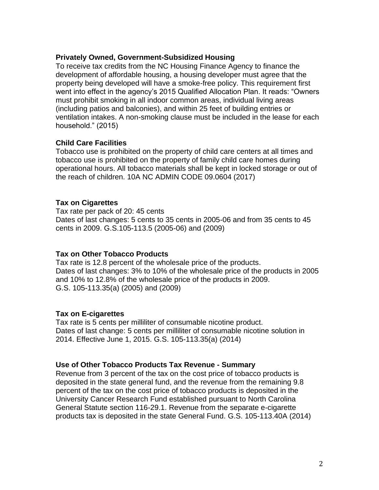#### **Privately Owned, Government-Subsidized Housing**

To receive tax credits from the NC Housing Finance Agency to finance the development of affordable housing, a housing developer must agree that the property being developed will have a smoke-free policy. This requirement first went into effect in the agency's 2015 Qualified Allocation Plan. It reads: "Owners must prohibit smoking in all indoor common areas, individual living areas (including patios and balconies), and within 25 feet of building entries or ventilation intakes. A non-smoking clause must be included in the lease for each household." (2015)

#### **Child Care Facilities**

Tobacco use is prohibited on the property of child care centers at all times and tobacco use is prohibited on the property of family child care homes during operational hours. All tobacco materials shall be kept in locked storage or out of the reach of children. 10A NC ADMIN CODE 09.0604 (2017)

### **Tax on Cigarettes**

Tax rate per pack of 20: 45 cents Dates of last changes: 5 cents to 35 cents in 2005-06 and from 35 cents to 45 cents in 2009. G.S.105-113.5 (2005-06) and (2009)

### **Tax on Other Tobacco Products**

Tax rate is 12.8 percent of the wholesale price of the products. Dates of last changes: 3% to 10% of the wholesale price of the products in 2005 and 10% to 12.8% of the wholesale price of the products in 2009. G.S. 105-113.35(a) (2005) and (2009)

### **Tax on E-cigarettes**

Tax rate is 5 cents per milliliter of consumable nicotine product. Dates of last change: 5 cents per milliliter of consumable nicotine solution in 2014. Effective June 1, 2015. G.S. 105-113.35(a) (2014)

### **Use of Other Tobacco Products Tax Revenue - Summary**

Revenue from 3 percent of the tax on the cost price of tobacco products is deposited in the state general fund, and the revenue from the remaining 9.8 percent of the tax on the cost price of tobacco products is deposited in the University Cancer Research Fund established pursuant to North Carolina General Statute section 116-29.1. Revenue from the separate e-cigarette products tax is deposited in the state General Fund. G.S. 105-113.40A (2014)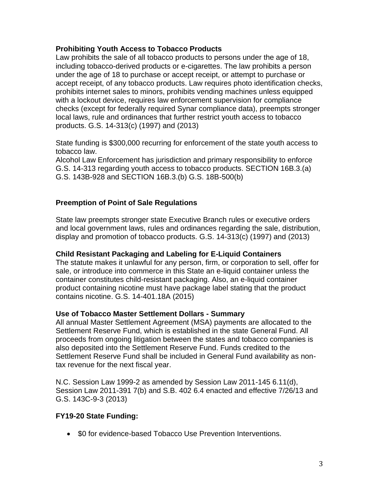## **Prohibiting Youth Access to Tobacco Products**

Law prohibits the sale of all tobacco products to persons under the age of 18, including tobacco-derived products or e-cigarettes. The law prohibits a person under the age of 18 to purchase or accept receipt, or attempt to purchase or accept receipt, of any tobacco products. Law requires photo identification checks, prohibits internet sales to minors, prohibits vending machines unless equipped with a lockout device, requires law enforcement supervision for compliance checks (except for federally required Synar compliance data), preempts stronger local laws, rule and ordinances that further restrict youth access to tobacco products. G.S. 14-313(c) (1997) and (2013)

State funding is \$300,000 recurring for enforcement of the state youth access to tobacco law.

Alcohol Law Enforcement has jurisdiction and primary responsibility to enforce G.S. 14-313 regarding youth access to tobacco products. SECTION 16B.3.(a) G.S. 143B-928 and SECTION 16B.3.(b) G.S. 18B-500(b)

## **Preemption of Point of Sale Regulations**

State law preempts stronger state Executive Branch rules or executive orders and local government laws, rules and ordinances regarding the sale, distribution, display and promotion of tobacco products. G.S. 14-313(c) (1997) and (2013)

### **Child Resistant Packaging and Labeling for E-Liquid Containers**

The statute makes it unlawful for any person, firm, or corporation to sell, offer for sale, or introduce into commerce in this State an e-liquid container unless the container constitutes child-resistant packaging. Also, an e-liquid container product containing nicotine must have package label stating that the product contains nicotine. G.S. 14-401.18A (2015)

### **Use of Tobacco Master Settlement Dollars - Summary**

All annual Master Settlement Agreement (MSA) payments are allocated to the Settlement Reserve Fund, which is established in the state General Fund. All proceeds from ongoing litigation between the states and tobacco companies is also deposited into the Settlement Reserve Fund. Funds credited to the Settlement Reserve Fund shall be included in General Fund availability as nontax revenue for the next fiscal year.

N.C. Session Law 1999-2 as amended by Session Law 2011-145 6.11(d), Session Law 2011-391 7(b) and S.B. 402 6.4 enacted and effective 7/26/13 and G.S. 143C-9-3 (2013)

# **FY19-20 State Funding:**

• \$0 for evidence-based Tobacco Use Prevention Interventions.